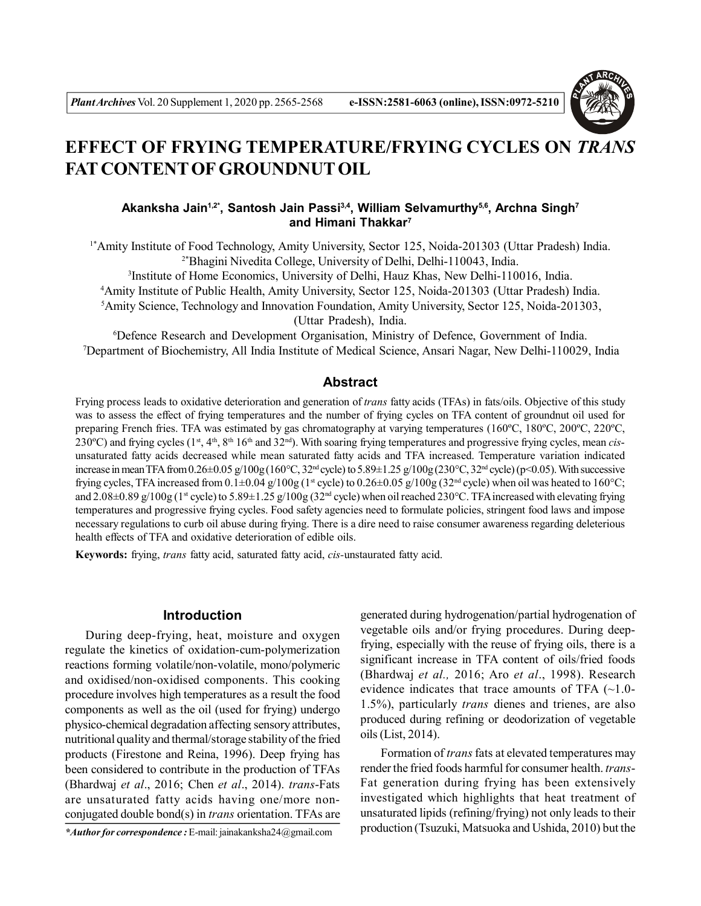

# **EFFECT OF FRYING TEMPERATURE/FRYING CYCLES ON** *TRANS* **FAT CONTENT OF GROUNDNUT OIL**

# **Akanksha Jain1,2\*, Santosh Jain Passi3,4, William Selvamurthy5,6, Archna Singh<sup>7</sup> and Himani Thakkar<sup>7</sup>**

1\*Amity Institute of Food Technology, Amity University, Sector 125, Noida-201303 (Uttar Pradesh) India. 2\*Bhagini Nivedita College, University of Delhi, Delhi-110043, India.

3 Institute of Home Economics, University of Delhi, Hauz Khas, New Delhi-110016, India.

<sup>4</sup>Amity Institute of Public Health, Amity University, Sector 125, Noida-201303 (Uttar Pradesh) India.

<sup>5</sup>Amity Science, Technology and Innovation Foundation, Amity University, Sector 125, Noida-201303,

(Uttar Pradesh), India.

<sup>6</sup>Defence Research and Development Organisation, Ministry of Defence, Government of India. <sup>7</sup>Department of Biochemistry, All India Institute of Medical Science, Ansari Nagar, New Delhi-110029, India

## **Abstract**

Frying process leads to oxidative deterioration and generation of *trans* fatty acids (TFAs) in fats/oils. Objective of this study was to assess the effect of frying temperatures and the number of frying cycles on TFA content of groundnut oil used for preparing French fries. TFA was estimated by gas chromatography at varying temperatures (160ºC, 180ºC, 200ºC, 220ºC, 230ºC) and frying cycles (1st, 4th, 8th 16th and 32nd). With soaring frying temperatures and progressive frying cycles, mean *cis*unsaturated fatty acids decreased while mean saturated fatty acids and TFA increased. Temperature variation indicated increase in mean TFA from 0.26 $\pm$ 0.05 g/100g (160°C, 32<sup>nd</sup> cycle) to 5.89 $\pm$ 1.25 g/100g (230°C, 32<sup>nd</sup> cycle) (p<0.05). With successive frying cycles, TFA increased from  $0.1\pm0.04$  g/100g (1<sup>st</sup> cycle) to  $0.26\pm0.05$  g/100g (32<sup>nd</sup> cycle) when oil was heated to 160°C; and  $2.08\pm0.89$  g/100g (1<sup>st</sup> cycle) to  $5.89\pm1.25$  g/100g ( $32<sup>nd</sup>$  cycle) when oil reached 230°C. TFA increased with elevating frying temperatures and progressive frying cycles. Food safety agencies need to formulate policies, stringent food laws and impose necessary regulations to curb oil abuse during frying. There is a dire need to raise consumer awareness regarding deleterious health effects of TFA and oxidative deterioration of edible oils.

**Keywords:** frying, *trans* fatty acid, saturated fatty acid, *cis-*unstaurated fatty acid.

## **Introduction**

During deep-frying, heat, moisture and oxygen regulate the kinetics of oxidation-cum-polymerization reactions forming volatile/non-volatile, mono/polymeric and oxidised/non-oxidised components. This cooking procedure involves high temperatures as a result the food components as well as the oil (used for frying) undergo physico-chemical degradation affecting sensory attributes, nutritional quality and thermal/storage stability of the fried products (Firestone and Reina, 1996). Deep frying has been considered to contribute in the production of TFAs (Bhardwaj *et al*., 2016; Chen *et al*., 2014). *trans*-Fats are unsaturated fatty acids having one/more nonconjugated double bond(s) in *trans* orientation. TFAs are

*\*Author for correspondence :* E-mail: jainakanksha24@gmail.com

generated during hydrogenation/partial hydrogenation of vegetable oils and/or frying procedures. During deepfrying, especially with the reuse of frying oils, there is a significant increase in TFA content of oils/fried foods (Bhardwaj *et al.,* 2016; Aro *et al*., 1998). Research evidence indicates that trace amounts of TFA (~1.0- 1.5%), particularly *trans* dienes and trienes, are also produced during refining or deodorization of vegetable oils (List, 2014).

Formation of *trans* fats at elevated temperatures may render the fried foods harmful for consumer health. *trans*-Fat generation during frying has been extensively investigated which highlights that heat treatment of unsaturated lipids (refining/frying) not only leads to their production (Tsuzuki, Matsuoka and Ushida, 2010) but the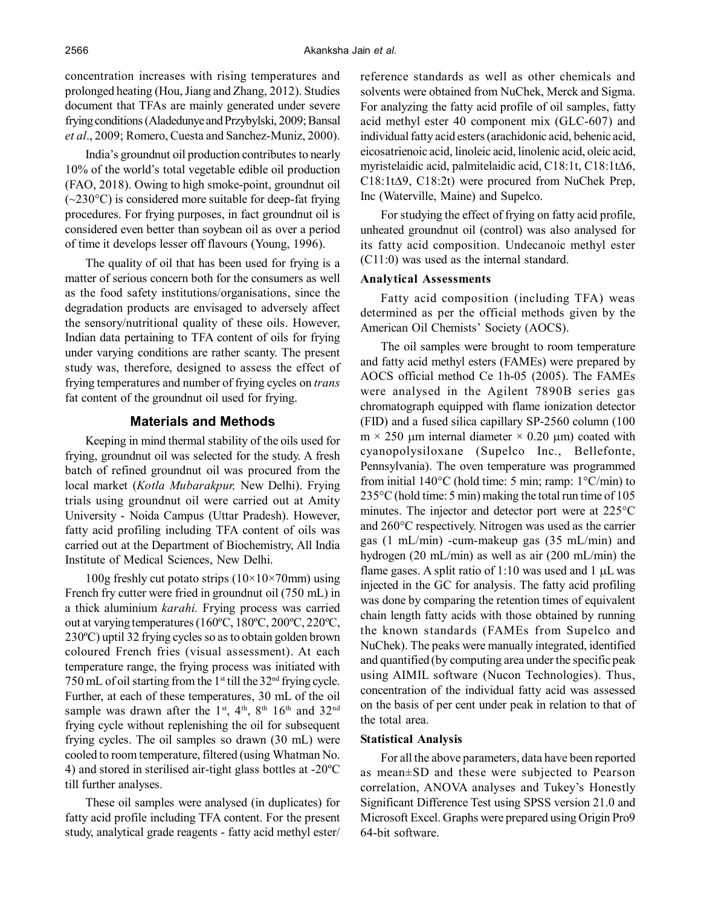concentration increases with rising temperatures and prolonged heating (Hou, Jiang and Zhang, 2012). Studies document that TFAs are mainly generated under severe frying conditions (Aladedunye and Przybylski, 2009; Bansal *et al*., 2009; Romero, Cuesta and Sanchez-Muniz, 2000).

India's groundnut oil production contributes to nearly 10% of the world's total vegetable edible oil production (FAO, 2018). Owing to high smoke-point, groundnut oil  $(-230^{\circ}C)$  is considered more suitable for deep-fat frying procedures. For frying purposes, in fact groundnut oil is considered even better than soybean oil as over a period of time it develops lesser off flavours (Young, 1996).

The quality of oil that has been used for frying is a matter of serious concern both for the consumers as well as the food safety institutions/organisations, since the degradation products are envisaged to adversely affect the sensory/nutritional quality of these oils. However, Indian data pertaining to TFA content of oils for frying under varying conditions are rather scanty. The present study was, therefore, designed to assess the effect of frying temperatures and number of frying cycles on *trans* fat content of the groundnut oil used for frying.

## **Materials and Methods**

Keeping in mind thermal stability of the oils used for frying, groundnut oil was selected for the study. A fresh batch of refined groundnut oil was procured from the local market (*Kotla Mubarakpur,* New Delhi). Frying trials using groundnut oil were carried out at Amity University - Noida Campus (Uttar Pradesh). However, fatty acid profiling including TFA content of oils was carried out at the Department of Biochemistry, All India Institute of Medical Sciences, New Delhi.

100g freshly cut potato strips  $(10\times10\times70$ mm) using French fry cutter were fried in groundnut oil (750 mL) in a thick aluminium *karahi.* Frying process was carried out at varying temperatures (160ºC, 180ºC, 200ºC, 220ºC, 230ºC) uptil 32 frying cycles so as to obtain golden brown coloured French fries (visual assessment). At each temperature range, the frying process was initiated with 750 mL of oil starting from the  $1<sup>st</sup>$  till the 32<sup>nd</sup> frying cycle. Further, at each of these temperatures, 30 mL of the oil sample was drawn after the 1st, 4th, 8th 16th and 32<sup>nd</sup> frying cycle without replenishing the oil for subsequent frying cycles. The oil samples so drawn (30 mL) were cooled to room temperature, filtered (using Whatman No. 4) and stored in sterilised air-tight glass bottles at -20ºC till further analyses.

These oil samples were analysed (in duplicates) for fatty acid profile including TFA content. For the present study, analytical grade reagents - fatty acid methyl ester/ reference standards as well as other chemicals and solvents were obtained from NuChek, Merck and Sigma. For analyzing the fatty acid profile of oil samples, fatty acid methyl ester 40 component mix (GLC-607) and individual fatty acid esters (arachidonic acid, behenic acid, eicosatrienoic acid, linoleic acid, linolenic acid, oleic acid, myristelaidic acid, palmitelaidic acid, C18:1t, C18:1t6,  $C18:1t\Delta9$ ,  $C18:2t$ ) were procured from NuChek Prep, Inc (Waterville, Maine) and Supelco.

For studying the effect of frying on fatty acid profile, unheated groundnut oil (control) was also analysed for its fatty acid composition. Undecanoic methyl ester (C11:0) was used as the internal standard.

### **Analytical Assessments**

Fatty acid composition (including TFA) weas determined as per the official methods given by the American Oil Chemists' Society (AOCS).

The oil samples were brought to room temperature and fatty acid methyl esters (FAMEs) were prepared by AOCS official method Ce 1h-05 (2005). The FAMEs were analysed in the Agilent 7890B series gas chromatograph equipped with flame ionization detector (FID) and a fused silica capillary SP-2560 column (100  $m \times 250$  µm internal diameter  $\times$  0.20 µm) coated with cyanopolysiloxane (Supelco Inc., Bellefonte, Pennsylvania). The oven temperature was programmed from initial  $140^{\circ}$ C (hold time: 5 min; ramp:  $1^{\circ}$ C/min) to 235°C (hold time: 5 min) making the total run time of 105 minutes. The injector and detector port were at 225°C and 260°C respectively. Nitrogen was used as the carrier gas (1 mL/min) -cum-makeup gas (35 mL/min) and hydrogen (20 mL/min) as well as air (200 mL/min) the flame gases. A split ratio of 1:10 was used and 1  $\mu$ L was injected in the GC for analysis. The fatty acid profiling was done by comparing the retention times of equivalent chain length fatty acids with those obtained by running the known standards (FAMEs from Supelco and NuChek). The peaks were manually integrated, identified and quantified (by computing area under the specific peak using AIMIL software (Nucon Technologies). Thus, concentration of the individual fatty acid was assessed on the basis of per cent under peak in relation to that of the total area.

#### **Statistical Analysis**

For all the above parameters, data have been reported as mean±SD and these were subjected to Pearson correlation, ANOVA analyses and Tukey's Honestly Significant Difference Test using SPSS version 21.0 and Microsoft Excel. Graphs were prepared using Origin Pro9 64-bit software.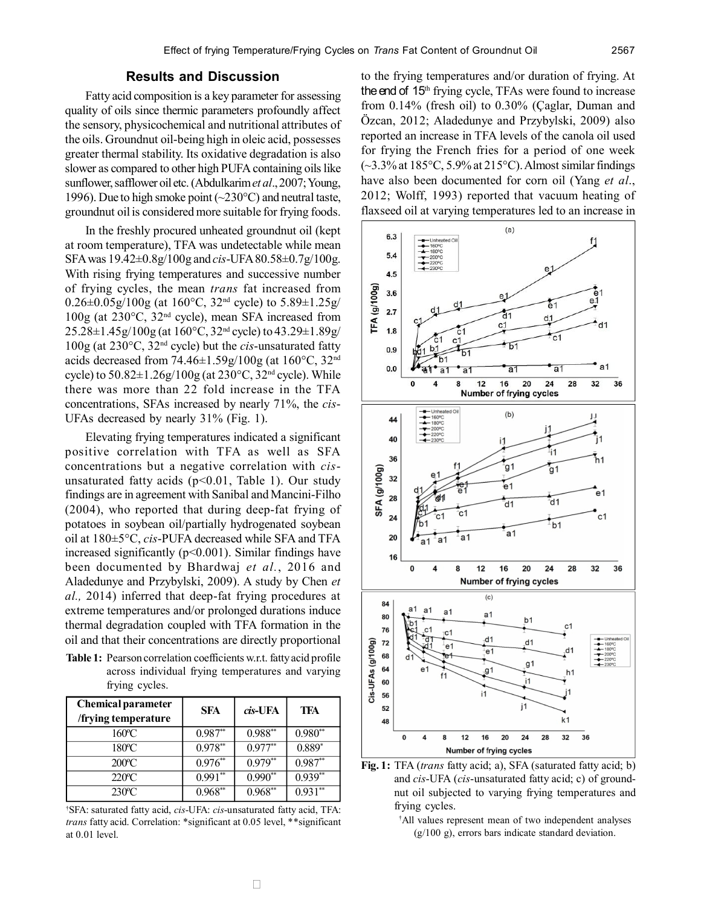Fatty acid composition is a key parameter for assessing quality of oils since thermic parameters profoundly affect the sensory, physicochemical and nutritional attributes of the oils. Groundnut oil-being high in oleic acid, possesses greater thermal stability. Its oxidative degradation is also slower as compared to other high PUFA containing oils like sunflower, safflower oil etc. (Abdulkarim *et al*., 2007; Young, 1996). Due to high smoke point  $(\sim 230^{\circ}C)$  and neutral taste, groundnut oil is considered more suitable for frying foods.

In the freshly procured unheated groundnut oil (kept at room temperature), TFA was undetectable while mean SFA was 19.42±0.8g/100g and *cis*-UFA 80.58±0.7g/100g. With rising frying temperatures and successive number of frying cycles, the mean *trans* fat increased from  $0.26\pm0.05g/100g$  (at 160°C, 32<sup>nd</sup> cycle) to 5.89 $\pm1.25g/$ 100g (at 230°C, 32nd cycle), mean SFA increased from 25.28±1.45g/100g (at 160°C, 32nd cycle) to 43.29±1.89g/ 100g (at 230°C, 32nd cycle) but the *cis*-unsaturated fatty acids decreased from  $74.46 \pm 1.59$  g/ $100$ g (at  $160^{\circ}$ C,  $32^{\text{nd}}$ cycle) to  $50.82 \pm 1.26$  g/ $100$ g (at  $230^{\circ}$ C,  $32^{\text{nd}}$  cycle). While there was more than 22 fold increase in the TFA concentrations, SFAs increased by nearly 71%, the *cis*-UFAs decreased by nearly 31% (Fig. 1).

Elevating frying temperatures indicated a significant positive correlation with TFA as well as SFA concentrations but a negative correlation with *cis*unsaturated fatty acids  $(p<0.01$ , Table 1). Our study findings are in agreement with Sanibal and Mancini-Filho (2004), who reported that during deep-fat frying of potatoes in soybean oil/partially hydrogenated soybean oil at 180±5°C, *cis*-PUFA decreased while SFA and TFA increased significantly (p<0.001). Similar findings have been documented by Bhardwaj *et al.*, 2016 and Aladedunye and Przybylski, 2009). A study by Chen *et al.,* 2014) inferred that deep-fat frying procedures at extreme temperatures and/or prolonged durations induce thermal degradation coupled with TFA formation in the oil and that their concentrations are directly proportional

**Table 1:** Pearson correlation coefficients w.r.t. fatty acid profile across individual frying temperatures and varying frying cycles.

| <b>Chemical parameter</b><br>/frying temperature | <b>SFA</b> | cis-UFA   | TFA       |
|--------------------------------------------------|------------|-----------|-----------|
| 160°C                                            | $0.987**$  | $0.988**$ | $0.980**$ |
| 180°C                                            | $0.978**$  | $0.977**$ | $0.889*$  |
| 200 <sup>o</sup> C                               | $0.976**$  | $0.979**$ | $0.987**$ |
| $220^{\circ}$ C                                  | $0.991**$  | $0.990**$ | $0.939**$ |
| $230^{\circ}$ C                                  | $0.968**$  | $0.968**$ | $0.931**$ |

†SFA: saturated fatty acid, *cis*-UFA: *cis*-unsaturated fatty acid, TFA: *trans* fatty acid. Correlation: \*significant at 0.05 level, \*\*significant at 0.01 level.

to the frying temperatures and/or duration of frying. At the end of 15<sup>th</sup> frying cycle, TFAs were found to increase from 0.14% (fresh oil) to 0.30% (Çaglar, Duman and Özcan, 2012; Aladedunye and Przybylski, 2009) also reported an increase in TFA levels of the canola oil used for frying the French fries for a period of one week  $(-3.3\%$  at  $185\degree$ C,  $5.9\%$  at  $215\degree$ C). Almost similar findings have also been documented for corn oil (Yang *et al*., 2012; Wolff, 1993) reported that vacuum heating of flaxseed oil at varying temperatures led to an increase in



**Fig. 1:** TFA (*trans* fatty acid; a), SFA (saturated fatty acid; b) and *cis*-UFA (*cis*-unsaturated fatty acid; c) of groundnut oil subjected to varying frying temperatures and frying cycles.

†All values represent mean of two independent analyses (g/100 g), errors bars indicate standard deviation.